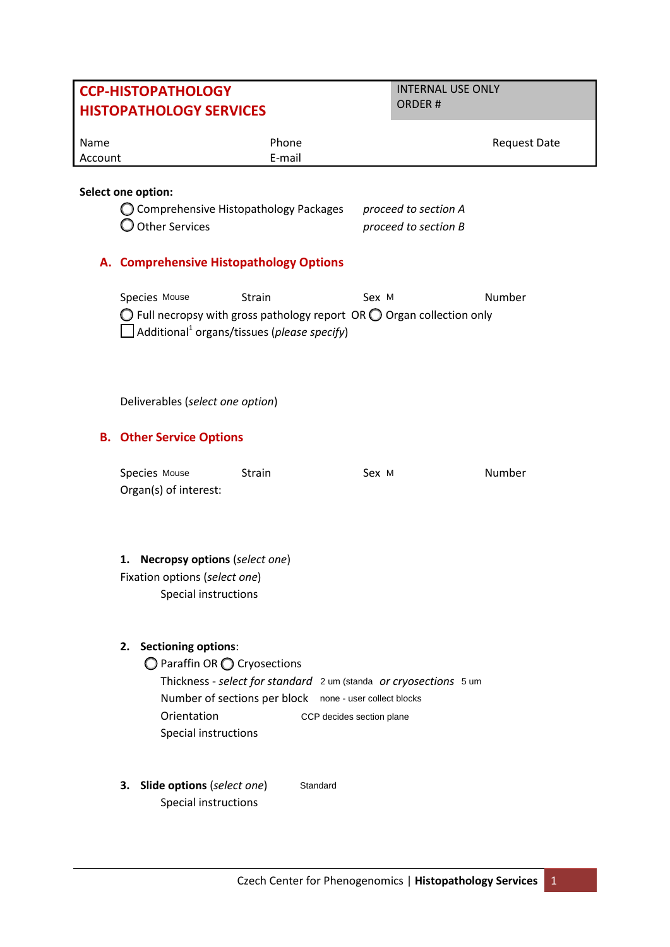# **CCP-HISTOPATHOLOGY HISTOPATHOLOGY SERVICES**

INTERNAL USE ONLY ORDER #

| Name    | Phone  | <b>Request Date</b> |
|---------|--------|---------------------|
| Account | E-mail |                     |

## **Select one option:**

| $\bigcirc$ Comprehensive Histopathology Packages | proceed to section A |
|--------------------------------------------------|----------------------|
| $\bigcirc$ Other Services                        | proceed to section B |

## **A. Comprehensive Histopathology Options**

Species Mouse Strain Sex M Sex M Number  $\bigcirc$  Full necropsy with gross pathology report OR  $\bigcirc$  Organ collection only Additional1 organs/tissues (*please specify*) Strain

Deliverables (*select one option*)

# **B. Other Service Options**

| Species Mouse         | Strain | Sex M | Number |
|-----------------------|--------|-------|--------|
| Organ(s) of interest: |        |       |        |

# **1. Necropsy options** (*select one*)

Fixation options (*select one*) Special instructions

#### **2. Sectioning options**:

◯ Paraffin OR ◯ Cryosections

Thickness - *select for standard* 2 um (standa or cryosections 5 um Number of sections per block none - user collect blocks Orientation Special instructions CCP decides section plane

**3. Slide options** (*select one*) Special instructions Standard

Czech Center for Phenogenomics | **Histopathology Services** 1